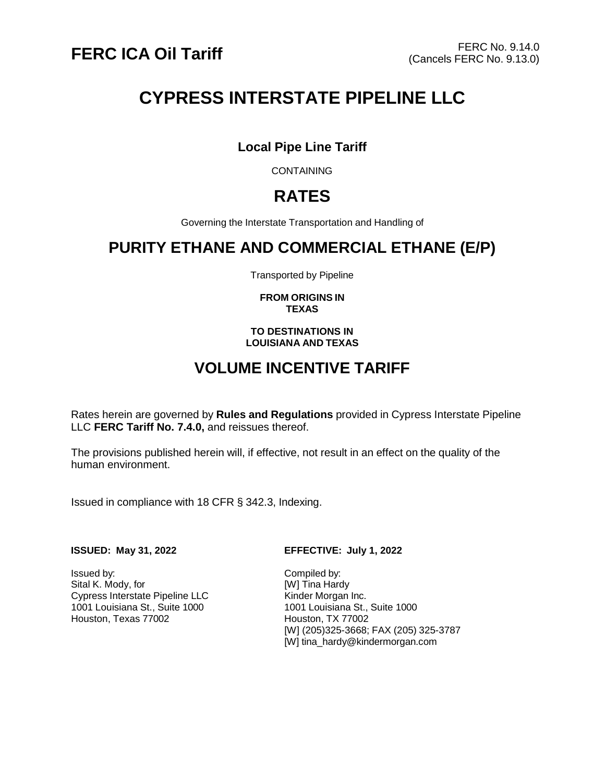# **CYPRESS INTERSTATE PIPELINE LLC**

## **Local Pipe Line Tariff**

**CONTAINING** 

## **RATES**

Governing the Interstate Transportation and Handling of

## **PURITY ETHANE AND COMMERCIAL ETHANE (E/P)**

Transported by Pipeline

### **FROM ORIGINS IN TEXAS**

### **TO DESTINATIONS IN LOUISIANA AND TEXAS**

## **VOLUME INCENTIVE TARIFF**

Rates herein are governed by **Rules and Regulations** provided in Cypress Interstate Pipeline LLC **FERC Tariff No. 7.4.0,** and reissues thereof.

The provisions published herein will, if effective, not result in an effect on the quality of the human environment.

Issued in compliance with 18 CFR § 342.3, Indexing.

Issued by: <br>
Sital K. Mody, for Sital K. Mody, for Sital K. Mody, for Sital Assembly Press, 2008. Sital K. Mody, for<br>Cypress Interstate Pipeline LLC **Finally** Kinder Morgan Inc. Cypress Interstate Pipeline LLC 1001 Louisiana St., Suite 1000<br>
Houston, Texas 77002<br>
Houston, TX 77002 Houston, Texas 77002

### **ISSUED: May 31, 2022 EFFECTIVE: July 1, 2022**

[W] (205)325-3668; FAX (205) 325-3787 [W] [tina\\_hardy@kindermorgan.com](mailto:tina_hardy@kindermorgan.com)